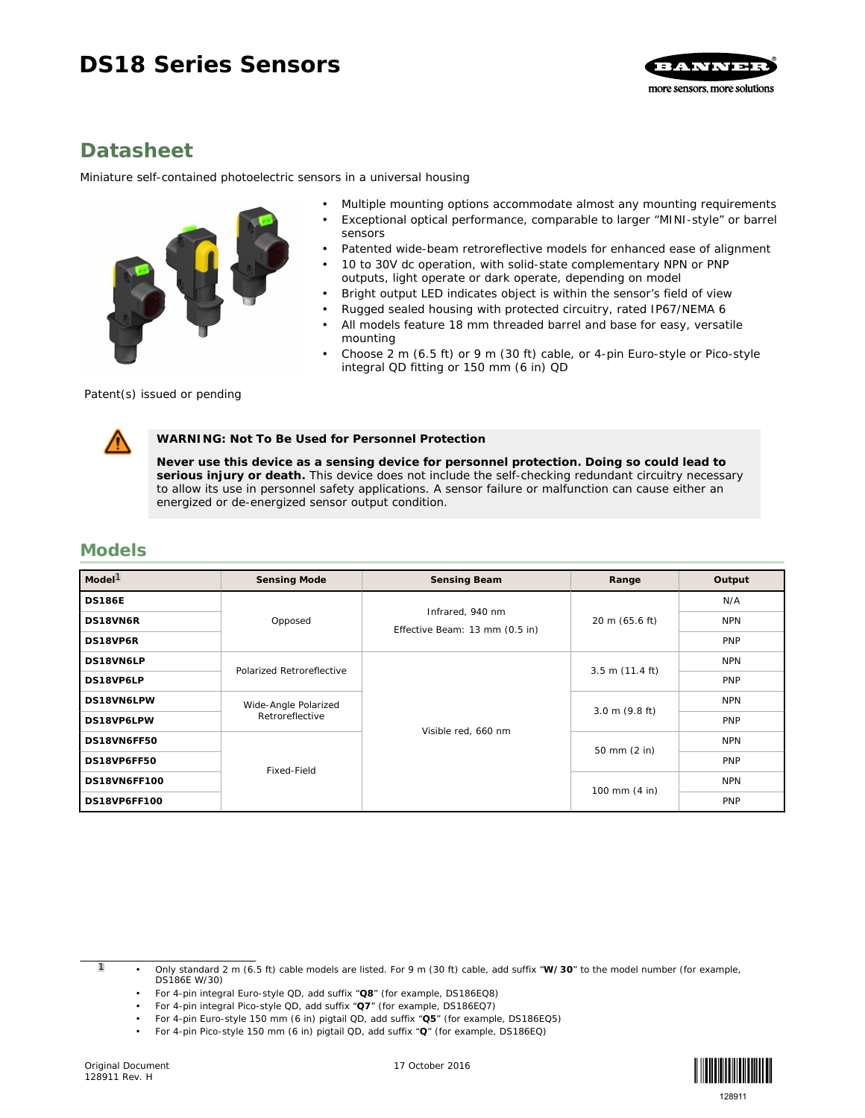# **DS18 Series Sensors**



# **Datasheet**

*Miniature self-contained photoelectric sensors in a universal housing*

- 
- Multiple mounting options accommodate almost any mounting requirements
- Exceptional optical performance, comparable to larger "MINI-style" or barrel sensors
- Patented wide-beam retroreflective models for enhanced ease of alignment
- 10 to 30V dc operation, with solid-state complementary NPN or PNP outputs, light operate or dark operate, depending on model
- Bright output LED indicates object is within the sensor's field of view
- Rugged sealed housing with protected circuitry, rated IP67/NEMA 6
- All models feature 18 mm threaded barrel and base for easy, versatile mounting
- Choose 2 m (6.5 ft) or 9 m (30 ft) cable, or 4-pin Euro-style or Pico-style integral QD fitting or 150 mm (6 in) QD

Patent(s) issued or pending

**WARNING: Not To Be Used for Personnel Protection**

**Never use this device as a sensing device for personnel protection. Doing so could lead to serious injury or death.** This device does not include the self-checking redundant circuitry necessary to allow its use in personnel safety applications. A sensor failure or malfunction can cause either an energized or de-energized sensor output condition.

## **Models**

| Model <sup>1</sup> | Sensing Mode              | Sensing Beam                                       | Range                     | Output     |
|--------------------|---------------------------|----------------------------------------------------|---------------------------|------------|
| <b>DS186E</b>      |                           | Infrared, 940 nm<br>Effective Beam: 13 mm (0.5 in) | 20 m (65.6 ft)            | N/A        |
| DS18VN6R           | Opposed                   |                                                    |                           | <b>NPN</b> |
| DS18VP6R           |                           |                                                    |                           | PNP        |
| DS18VN6LP          |                           | Visible red, 660 nm                                | $3.5 \text{ m}$ (11.4 ft) | <b>NPN</b> |
| DS18VP6LP          | Polarized Retroreflective |                                                    |                           | PNP        |
| DS18VN6LPW         | Wide-Angle Polarized      |                                                    | $3.0 \text{ m}$ (9.8 ft)  | <b>NPN</b> |
| DS18VP6LPW         | Retroreflective           |                                                    |                           | PNP        |
| DS18VN6FF50        | Fixed-Field               |                                                    | 50 mm (2 in)              | <b>NPN</b> |
| DS18VP6FF50        |                           |                                                    |                           | PNP        |
| DS18VN6FF100       |                           |                                                    | 100 mm (4 in)             | <b>NPN</b> |
| DS18VP6FF100       |                           |                                                    |                           | PNP        |

1 • Only standard 2 m (6.5 ft) cable models are listed. For 9 m (30 ft) cable, add suffix "**W/30**" to the model number (for example, DS186E W/30)

- For 4-pin integral Euro-style QD, add suffix "**Q8**" (for example, DS186EQ8)
- For 4-pin integral Pico-style QD, add suffix "**Q7**" (for example, DS186EQ7)
- For 4-pin Euro-style 150 mm (6 in) pigtail QD, add suffix "**Q5**" (for example, DS186EQ5)



<sup>•</sup> For 4-pin Pico-style 150 mm (6 in) pigtail QD, add suffix "**Q**" (for example, DS186EQ)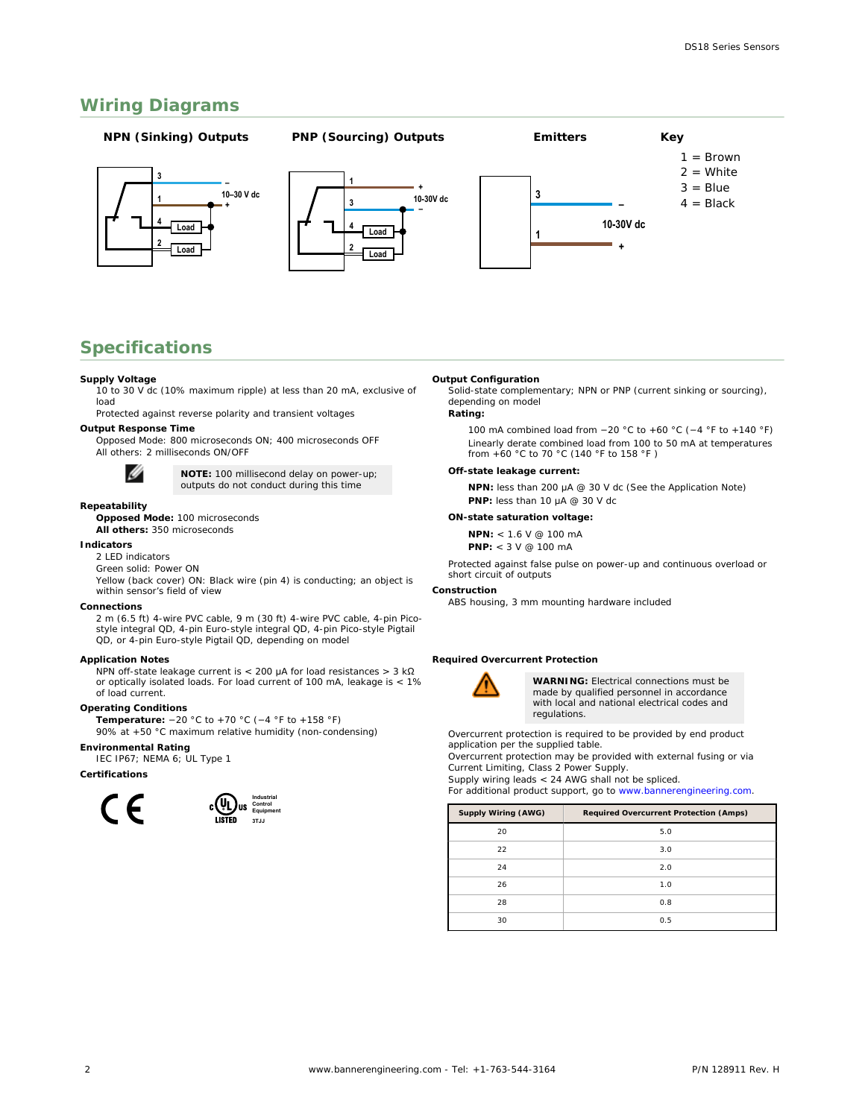### **Wiring Diagrams**



### **Specifications**

#### **Supply Voltage**

10 to 30 V dc (10% maximum ripple) at less than 20 mA, exclusive of load

Protected against reverse polarity and transient voltages

**Output Response Time**

Opposed Mode: 800 microseconds ON; 400 microseconds OFF All others: 2 milliseconds ON/OFF



**NOTE:** 100 millisecond delay on power-up; outputs do not conduct during this time

### **Repeatability**

**Opposed Mode:** 100 microseconds **All others:** 350 microseconds

#### **Indicators**

- 2 LED indicators
- Green solid: Power ON

Yellow (back cover) ON: Black wire (pin 4) is conducting; an object is within sensor's field of view

#### **Connections**

2 m (6.5 ft) 4-wire PVC cable, 9 m (30 ft) 4-wire PVC cable, 4-pin Picostyle integral QD, 4-pin Euro-style integral QD, 4-pin Pico-style Pigtail QD, or 4-pin Euro-style Pigtail QD, depending on model

#### **Application Notes**

NPN off-state leakage current is < 200 μA for load resistances > 3 kΩ or optically isolated loads. For load current of 100 mA, leakage is < 1% of load current.

#### **Operating Conditions**

**Temperature:** −20 °C to +70 °C (−4 °F to +158 °F) 90% at +50 °C maximum relative humidity (non-condensing)

**Environmental Rating**

#### IEC IP67; NEMA 6; UL Type 1

**Certifications**



#### **Output Configuration**

Solid-state complementary; NPN or PNP (current sinking or sourcing), depending on model

**Rating:**

100 mA combined load from −20 °C to +60 °C (−4 °F to +140 °F) Linearly derate combined load from 100 to 50 mA at temperatures from +60 °C to 70 °C (140 °F to 158 °F )

#### **Off-state leakage current:**

**NPN:** less than 200 μA @ 30 V dc (See the Application Note) **PNP:** less than 10 μA @ 30 V dc

**ON-state saturation voltage:**

**NPN:** < 1.6 V @ 100 mA

**PNP:** < 3 V @ 100 mA

Protected against false pulse on power-up and continuous overload or short circuit of outputs

### **Construction**

ABS housing, 3 mm mounting hardware included

**Required Overcurrent Protection**



**WARNING:** Electrical connections must be made by qualified personnel in accordance with local and national electrical codes and regulations.

Overcurrent protection is required to be provided by end product application per the supplied table.

Overcurrent protection may be provided with external fusing or via Current Limiting, Class 2 Power Supply.

Supply wiring leads < 24 AWG shall not be spliced.

For additional product support, go to *[www.bannerengineering.com](http://www.bannerengineering.com)*.

| Supply Wiring (AWG) | Required Overcurrent Protection (Amps) |  |  |
|---------------------|----------------------------------------|--|--|
| 20                  | 5.0                                    |  |  |
| 22                  | 3.0                                    |  |  |
| 24                  | 2.0                                    |  |  |
| 26                  | 1.0                                    |  |  |
| 28                  | 0.8                                    |  |  |
| 30                  | 0.5                                    |  |  |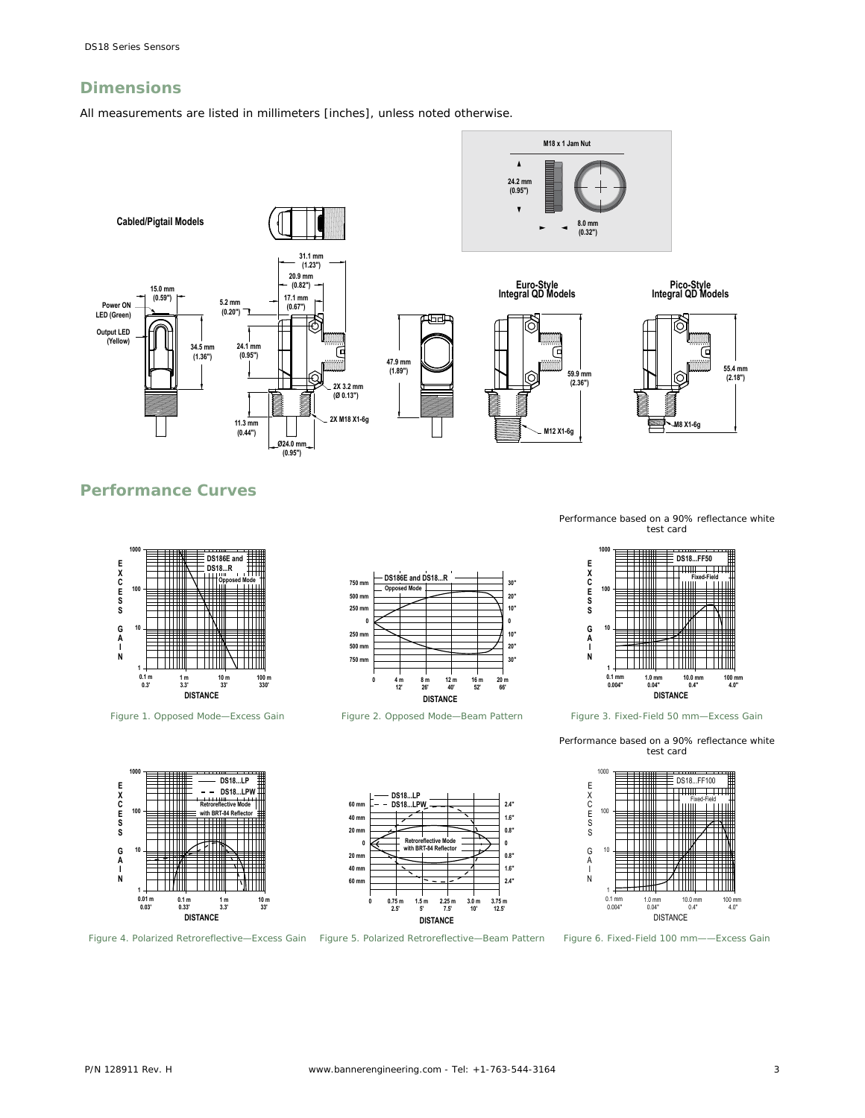### **Dimensions**

All measurements are listed in millimeters [inches], unless noted otherwise.



### **Performance Curves**



*Figure 1. Opposed Mode—Excess Gain*



*Figure 2. Opposed Mode—Beam Pattern*





*Figure 3. Fixed-Field 50 mm—Excess Gain*

Performance based on a 90% reflectance white test card









**DISTANCE**

**Retroreflective Mode with BRT-84 Reflector**

**DS18...LP DS18...LPW**

**0 20 mm 40 mm 60 mm**

**20 mm 40 mm 60 mm**

> **3.75 m 12.5' 3.0 m 10' 2.25 m 7.5' 1.5 m 5' 0.75 m 2.5' 0**

**0 0.8" 1.6" 2.4"**

**0.8" 1.6" 2.4"**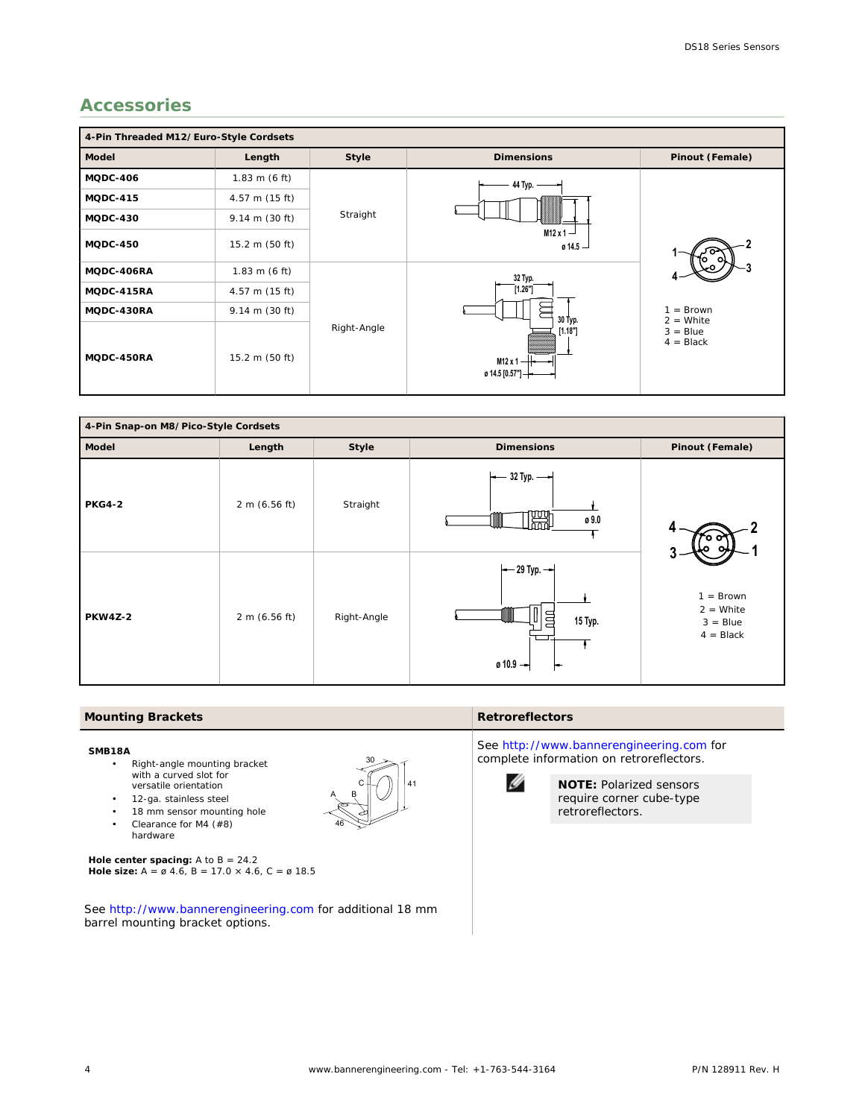# **Accessories**

| 4-Pin Threaded M12/Euro-Style Cordsets |                          |             |                                                     |                                                                       |  |  |  |
|----------------------------------------|--------------------------|-------------|-----------------------------------------------------|-----------------------------------------------------------------------|--|--|--|
| Model                                  | Length                   | Style       | <b>Dimensions</b>                                   | Pinout (Female)                                                       |  |  |  |
| <b>MQDC-406</b>                        | $1.83 \text{ m}$ (6 ft)  | Straight    | 44 Typ. -                                           |                                                                       |  |  |  |
| MQDC-415                               | 4.57 m (15 ft)           |             | $M12x1 -$<br>0.14.5                                 |                                                                       |  |  |  |
| MQDC-430                               | $9.14 \text{ m}$ (30 ft) |             |                                                     |                                                                       |  |  |  |
| MQDC-450                               | 15.2 m (50 ft)           |             |                                                     |                                                                       |  |  |  |
| MQDC-406RA                             | $1.83$ m (6 ft)          | Right-Angle | 32 Typ.                                             |                                                                       |  |  |  |
| MQDC-415RA                             | 4.57 m (15 ft)           |             | [1.26"]                                             |                                                                       |  |  |  |
| MQDC-430RA                             | $9.14 \text{ m}$ (30 ft) |             | 30 Typ.<br>[1.18"]<br>$M12x1 -$<br>ø 14.5 [0.57"] - | $=$ Brown<br>$\mathbf{1}$<br>$2 =$ White<br>$3 = Blue$<br>$4 = Black$ |  |  |  |
| MQDC-450RA                             | 15.2 m (50 ft)           |             |                                                     |                                                                       |  |  |  |



30

46

A B C∦. 41

### **Mounting Brackets Retroreflectors**

#### **SMB18A**

- Right-angle mounting bracket with a curved slot for versatile orientation
- 12-ga. stainless steel
- 18 mm sensor mounting hole
- Clearance for M4 (#8)
- hardware

**Hole center spacing:** A to B = 24.2 **Hole size:** A = ø 4.6, B = 17.0 × 4.6, C = ø 18.5

See *<http://www.bannerengineering.com>* for additional 18 mm barrel mounting bracket options.

See *<http://www.bannerengineering.com>* for complete information on retroreflectors.



**NOTE:** Polarized sensors require corner cube-type retroreflectors.